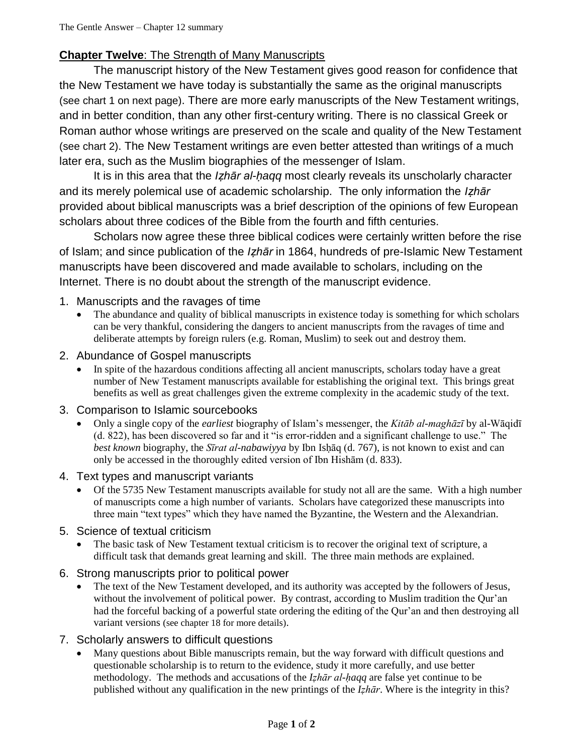# **Chapter Twelve**: The Strength of Many Manuscripts

The manuscript history of the New Testament gives good reason for confidence that the New Testament we have today is substantially the same as the original manuscripts (see chart 1 on next page). There are more early manuscripts of the New Testament writings, and in better condition, than any other first-century writing. There is no classical Greek or Roman author whose writings are preserved on the scale and quality of the New Testament (see chart 2). The New Testament writings are even better attested than writings of a much later era, such as the Muslim biographies of the messenger of Islam.

It is in this area that the *Iẓhār al-ḥaqq* most clearly reveals its unscholarly character and its merely polemical use of academic scholarship. The only information the *Iẓhār* provided about biblical manuscripts was a brief description of the opinions of few European scholars about three codices of the Bible from the fourth and fifth centuries.

Scholars now agree these three biblical codices were certainly written before the rise of Islam; and since publication of the *Iẓhār* in 1864, hundreds of pre-Islamic New Testament manuscripts have been discovered and made available to scholars, including on the Internet. There is no doubt about the strength of the manuscript evidence.

### 1. Manuscripts and the ravages of time

 The abundance and quality of biblical manuscripts in existence today is something for which scholars can be very thankful, considering the dangers to ancient manuscripts from the ravages of time and deliberate attempts by foreign rulers (e.g. Roman, Muslim) to seek out and destroy them.

#### 2. Abundance of Gospel manuscripts

 In spite of the hazardous conditions affecting all ancient manuscripts, scholars today have a great number of New Testament manuscripts available for establishing the original text. This brings great benefits as well as great challenges given the extreme complexity in the academic study of the text.

#### 3. Comparison to Islamic sourcebooks

 Only a single copy of the *earliest* biography of Islam's messenger, the *Kitāb al-maghāzī* by al-Wāqidī (d. 822), has been discovered so far and it "is error-ridden and a significant challenge to use." The *best known* biography, the *Sīrat al-nabawiyya* by Ibn Isḥāq (d. 767), is not known to exist and can only be accessed in the thoroughly edited version of Ibn Hishām (d. 833).

## 4. Text types and manuscript variants

 Of the 5735 New Testament manuscripts available for study not all are the same. With a high number of manuscripts come a high number of variants. Scholars have categorized these manuscripts into three main "text types" which they have named the Byzantine, the Western and the Alexandrian.

#### 5. Science of textual criticism

 The basic task of New Testament textual criticism is to recover the original text of scripture, a difficult task that demands great learning and skill. The three main methods are explained.

#### 6. Strong manuscripts prior to political power

 The text of the New Testament developed, and its authority was accepted by the followers of Jesus, without the involvement of political power. By contrast, according to Muslim tradition the Qur'an had the forceful backing of a powerful state ordering the editing of the Qur'an and then destroying all variant versions (see chapter 18 for more details).

#### 7. Scholarly answers to difficult questions

 Many questions about Bible manuscripts remain, but the way forward with difficult questions and questionable scholarship is to return to the evidence, study it more carefully, and use better methodology. The methods and accusations of the *Iẓhār al-ḥaqq* are false yet continue to be published without any qualification in the new printings of the *Iẓhār*. Where is the integrity in this?